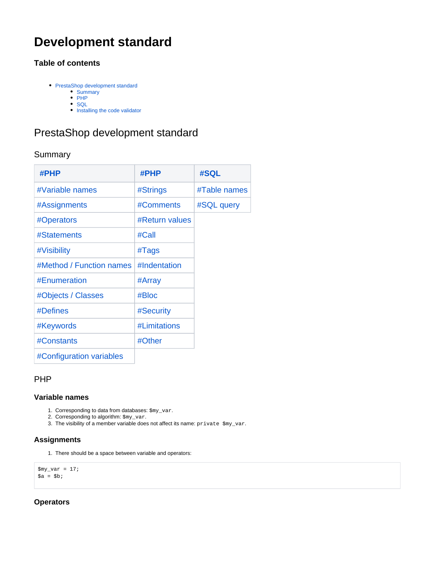# **Development standard**

# **Table of contents**

- [PrestaShop development standard](#page-0-0)
	- [Summary](#page-0-1)  $\bullet$  [PHP](#page-0-2)
	- [SQL](#page-5-0)
	- [Installing the code validator](#page-6-0)

# <span id="page-0-0"></span>PrestaShop development standard

# <span id="page-0-1"></span>Summary

| $\#$ PHP                 | #PHP                  | #SQL         |
|--------------------------|-----------------------|--------------|
| #Variable names          | #Strings              | #Table names |
| #Assignments             | #Comments             | #SQL query   |
| #Operators               | <b>#Return values</b> |              |
| #Statements              | #Call                 |              |
| #Visibility              | #Tags                 |              |
| #Method / Function names | #Indentation          |              |
| #Enumeration             | #Array                |              |
| #Objects / Classes       | #Bloc                 |              |
| #Defines                 | #Security             |              |
| #Keywords                | #Limitations          |              |
| #Constants               | #Other                |              |
| #Configuration variables |                       |              |

# <span id="page-0-2"></span>PHP

# <span id="page-0-3"></span>**Variable names**

- 1. Corresponding to data from databases: \$my\_var.
- 2. Corresponding to algorithm: \$my\_var.
- 3. The visibility of a member variable does not affect its name: private \$my\_var.

# <span id="page-0-4"></span>**Assignments**

1. There should be a space between variable and operators:

```
\text{Smy\_var} = 17;
\hat{a} = \hat{b};
```
# <span id="page-0-5"></span>**Operators**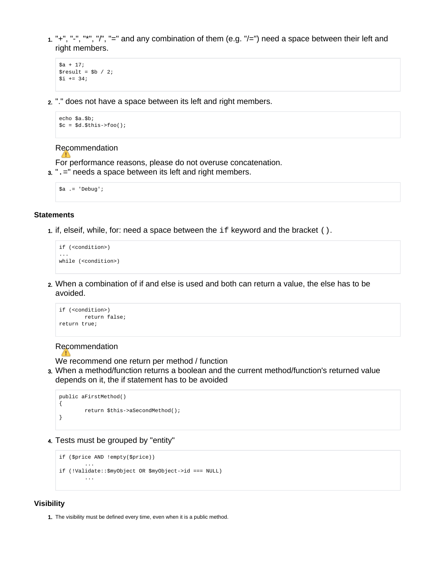1. "+", "-", "\*", "/", "=" and any combination of them (e.g. "/=") need a space between their left and right members.

```
$a + 17;
$result = $b / 2;$i += 34;
```
2. "." does not have a space between its left and right members.

```
echo $a.$b;
\nc = \n§d.\n§this \n> foo();
```
#### Recommendation

For performance reasons, please do not overuse concatenation.

3. ".=" needs a space between its left and right members.

```
$a .= 'Debug';
```
# <span id="page-1-0"></span>**Statements**

1. if, elseif, while, for: need a space between the if keyword and the bracket ().

```
if (<condition>)
...
while (<condition>)
```
2. When a combination of if and else is used and both can return a value, the else has to be avoided.

```
if (<condition>)
       return false;
return true;
```
#### Recommendation A

We recommend one return per method / function

3. When a method/function returns a boolean and the current method/function's returned value depends on it, the if statement has to be avoided

```
public aFirstMethod()
{
         return $this->aSecondMethod();
}
```
4. Tests must be grouped by "entity"

```
if ($price AND !empty($price))
 ...
if (!Validate::$myObject OR $myObject->id === NULL)
        ...
```
# <span id="page-1-1"></span>**Visibility**

1. The visibility must be defined every time, even when it is a public method.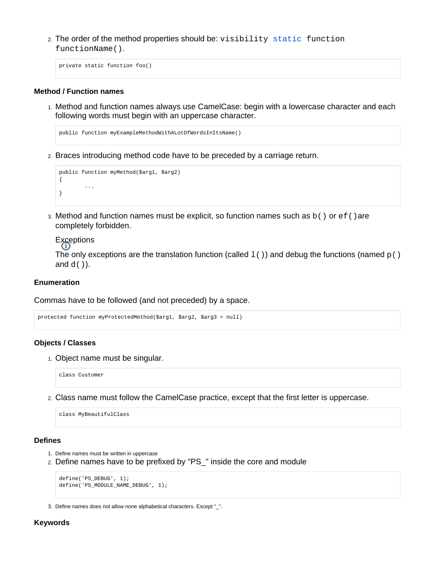2. The order of the method properties should be: visibility static function functionName().

private static function foo()

#### <span id="page-2-0"></span>**Method / Function names**

1. Method and function names always use CamelCase: begin with a lowercase character and each following words must begin with an uppercase character.

```
public function myExampleMethodWithALotOfWordsInItsName()
```
2. Braces introducing method code have to be preceded by a carriage return.

```
public function myMethod($arg1, $arg2)
{
          ...
}
```
3. Method and function names must be explicit, so function names such as b() or ef()are completely forbidden.

# **Exceptions**

The only exceptions are the translation function (called  $1()$ ) and debug the functions (named  $p()$ and  $d()$ ).

# <span id="page-2-1"></span>**Enumeration**

Commas have to be followed (and not preceded) by a space.

```
protected function myProtectedMethod($arg1, $arg2, $arg3 = null)
```
#### <span id="page-2-2"></span>**Objects / Classes**

1. Object name must be singular.

class Customer

2. Class name must follow the CamelCase practice, except that the first letter is uppercase.

class MyBeautifulClass

## <span id="page-2-3"></span>**Defines**

- 1. Define names must be written in uppercase
- 2. Define names have to be prefixed by "PS\_" inside the core and module

```
define('PS_DEBUG', 1);
define('PS_MODULE_NAME_DEBUG', 1);
```
3. Define names does not allow none alphabetical characters. Except "\_".

#### <span id="page-2-4"></span>**Keywords**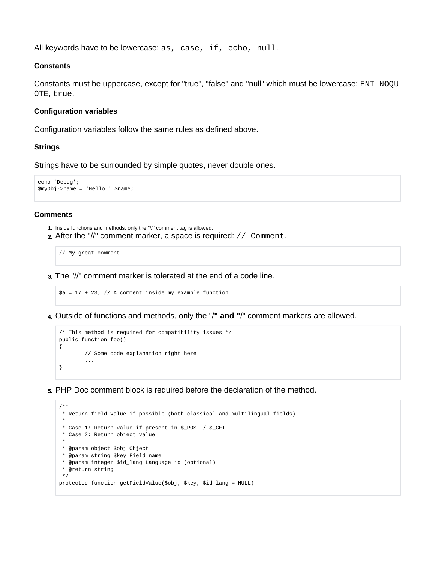All keywords have to be lowercase: as, case, if, echo, null.

#### <span id="page-3-2"></span>**Constants**

Constants must be uppercase, except for "true", "false" and "null" which must be lowercase: ENT\_NOQU OTE, true.

## <span id="page-3-3"></span>**Configuration variables**

Configuration variables follow the same rules as defined above.

#### <span id="page-3-0"></span>**Strings**

Strings have to be surrounded by simple quotes, never double ones.

```
echo 'Debug';
$myObj->name = 'Hello '.$name;
```
# <span id="page-3-1"></span>**Comments**

- 1. Inside functions and methods, only the "//" comment tag is allowed.
- 2. After the "//" comment marker, a space is required: // Comment.

// My great comment

3. The "//" comment marker is tolerated at the end of a code line.

```
$a = 17 + 23; // A comment inside my example function
```
4. Outside of functions and methods, only the "/**" and "**/" comment markers are allowed.

```
/* This method is required for compatibility issues */
public function foo()
{
         // Some code explanation right here
         ...
}
```
5. PHP Doc comment block is required before the declaration of the method.

```
/**
  * Return field value if possible (both classical and multilingual fields)
 *
 * Case 1: Return value if present in $_POST / $_GET
 * Case 2: Return object value
 *
 * @param object $obj Object
 * @param string $key Field name
 * @param integer $id_lang Language id (optional)
  * @return string
  */
protected function getFieldValue($obj, $key, $id_lang = NULL)
```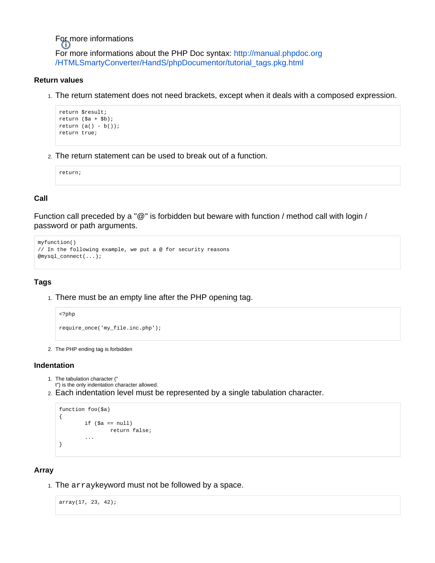For more informations For more informations about the PHP Doc syntax: [http://manual.phpdoc.org](http://manual.phpdoc.org/HTMLSmartyConverter/HandS/phpDocumentor/tutorial_tags.pkg.html) [/HTMLSmartyConverter/HandS/phpDocumentor/tutorial\\_tags.pkg.html](http://manual.phpdoc.org/HTMLSmartyConverter/HandS/phpDocumentor/tutorial_tags.pkg.html)

# <span id="page-4-0"></span>**Return values**

1. The return statement does not need brackets, except when it deals with a composed expression.

```
return $result;
return ($a + $b);
return (a() - b());
return true;
```
2. The return statement can be used to break out of a function.

return;

# <span id="page-4-1"></span>**Call**

Function call preceded by a "@" is forbidden but beware with function / method call with login / password or path arguments.

```
myfunction()
// In the following example, we put a @ for security reasons
@mysql_connect(...);
```
# <span id="page-4-2"></span>**Tags**

1. There must be an empty line after the PHP opening tag.

```
<?php
require_once('my_file.inc.php');
```
2. The PHP ending tag is forbidden

# <span id="page-4-3"></span>**Indentation**

- 1. The tabulation character ("
- t") is the only indentation character allowed.
- 2. Each indentation level must be represented by a single tabulation character.

```
function foo($a)
{
        if (\$a == null) return false;
         ...
}
```
# <span id="page-4-4"></span>**Array**

1. The arraykeyword must not be followed by a space.

array(17, 23, 42);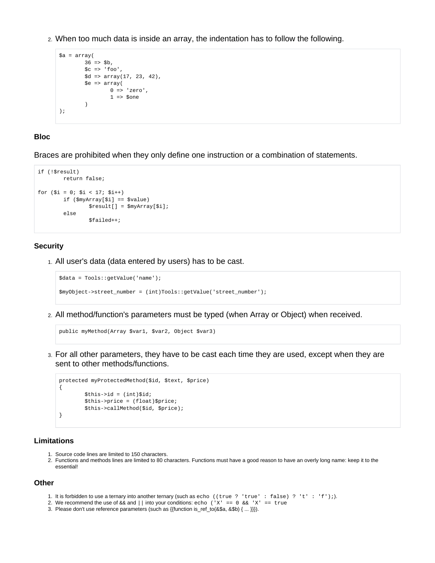2. When too much data is inside an array, the indentation has to follow the following.

```
$a = array(
          36 \Rightarrow $b,\zetac => 'foo',
           $d => array(17, 23, 42),
           $e => array(
                    0 \Rightarrow 'zero',1 \Rightarrow $one
           )
);
```
# <span id="page-5-1"></span>**Bloc**

Braces are prohibited when they only define one instruction or a combination of statements.

```
if (!$result)
        return false;
for (\$i = 0; \$i < 17; \$i++) if ($myArray[$i] == $value)
                 $result[] = $myArray[$i];
         else
                 $failed++;
```
# <span id="page-5-2"></span>**Security**

1. All user's data (data entered by users) has to be cast.

```
$data = Tools::getValue('name');
$myObject->street_number = (int)Tools::getValue('street_number');
```
2. All method/function's parameters must be typed (when Array or Object) when received.

```
public myMethod(Array $var1, $var2, Object $var3)
```
3. For all other parameters, they have to be cast each time they are used, except when they are sent to other methods/functions.

```
protected myProtectedMethod($id, $text, $price)
{
        $this = (int)$id;
         $this->price = (float)$price;
         $this->callMethod($id, $price);
}
```
#### <span id="page-5-3"></span>**Limitations**

- 1. Source code lines are limited to 150 characters.
- 2. Functions and methods lines are limited to 80 characters. Functions must have a good reason to have an overly long name: keep it to the essential!

#### <span id="page-5-4"></span>**Other**

- 1. It is forbidden to use a ternary into another ternary (such as echo ((true ? 'true' : false) ? 't' : 'f');).
- 2. We recommend the use of  $\&\&$  and || into your conditions: echo ('X' == 0  $\&&$  'X' == true
- <span id="page-5-0"></span>3. Please don't use reference parameters (such as {{function is\_ref\_to(&\$a, &\$b) { ... }}}).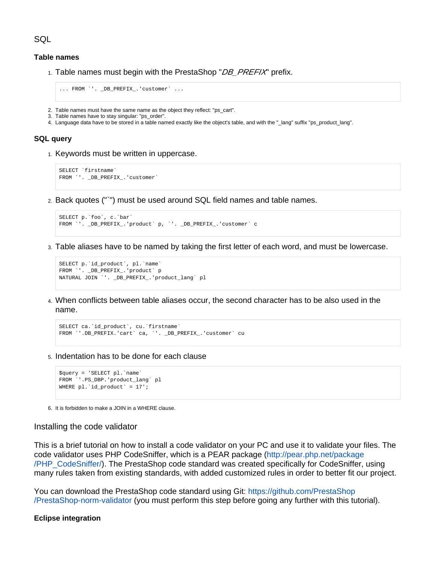**SQL** 

## <span id="page-6-1"></span>**Table names**

1. Table names must begin with the PrestaShop "*DB\_PREFIX*" prefix.

```
... FROM `'. _DB_PREFIX_.'customer` ...
```
- 2. Table names must have the same name as the object they reflect: "ps\_cart".
- 3. Table names have to stay singular: "ps\_order".
- 4. Language data have to be stored in a table named exactly like the object's table, and with the "\_lang" suffix "ps\_product\_lang".

#### <span id="page-6-2"></span>**SQL query**

1. Keywords must be written in uppercase.

```
SELECT `firstname`
FROM `'. _DB_PREFIX_.'customer`
```
2. Back quotes ("`") must be used around SQL field names and table names.

```
SELECT p.`foo`, c.`bar`
FROM `'. _DB_PREFIX_.'product` p, `'. _DB_PREFIX_.'customer` c
```
3. Table aliases have to be named by taking the first letter of each word, and must be lowercase.

```
SELECT p.`id_product`, pl.`name`
FROM `'. _DB_PREFIX_.'product` p
NATURAL JOIN `'. _DB_PREFIX_.'product_lang` pl
```
4. When conflicts between table aliases occur, the second character has to be also used in the name.

```
SELECT ca.`id_product`, cu.`firstname`
FROM `'.DB_PREFIX.'cart` ca, `'. _DB_PREFIX_.'customer` cu
```
5. Indentation has to be done for each clause

```
$query = 'SELECT pl.`name`
FROM `'.PS_DBP.'product_lang` pl
WHERE pl.`id_product` = 17';
```
6. It is forbidden to make a JOIN in a WHERE clause.

#### <span id="page-6-0"></span>Installing the code validator

This is a brief tutorial on how to install a code validator on your PC and use it to validate your files. The code validator uses PHP CodeSniffer, which is a PEAR package ([http://pear.php.net/package](http://pear.php.net/package/PHP_CodeSniffer/) [/PHP\\_CodeSniffer/](http://pear.php.net/package/PHP_CodeSniffer/)). The PrestaShop code standard was created specifically for CodeSniffer, using many rules taken from existing standards, with added customized rules in order to better fit our project.

You can download the PrestaShop code standard using Git: [https://github.com/PrestaShop](https://github.com/PrestaShop/PrestaShop-norm-validator) [/PrestaShop-norm-validator](https://github.com/PrestaShop/PrestaShop-norm-validator) (you must perform this step before going any further with this tutorial).

#### **Eclipse integration**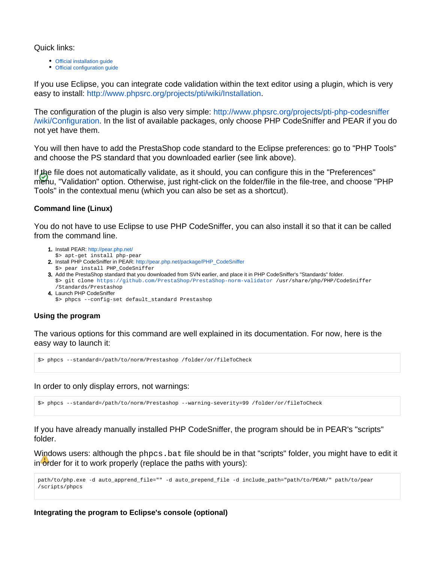Quick links:

- [Official installation guide](http://www.phpsrc.org/projects/pti/wiki/Installation)
- [Official configuration guide](http://www.phpsrc.org/projects/pti-php-codesniffer/wiki/Configuration)

If you use Eclipse, you can integrate code validation within the text editor using a plugin, which is very easy to install: [http://www.phpsrc.org/projects/pti/wiki/Installation.](http://www.phpsrc.org/projects/pti/wiki/Installation)

The configuration of the plugin is also very simple: [http://www.phpsrc.org/projects/pti-php-codesniffer](http://www.phpsrc.org/projects/pti-php-codesniffer/wiki/Configuration) [/wiki/Configuration.](http://www.phpsrc.org/projects/pti-php-codesniffer/wiki/Configuration) In the list of available packages, only choose PHP CodeSniffer and PEAR if you do not yet have them.

You will then have to add the PrestaShop code standard to the Eclipse preferences: go to "PHP Tools" and choose the PS standard that you downloaded earlier (see link above).

If the file does not automatically validate, as it should, you can configure this in the "Preferences" menu, "Validation" option. Otherwise, just right-click on the folder/file in the file-tree, and choose "PHP Tools" in the contextual menu (which you can also be set as a shortcut).

# **Command line (Linux)**

You do not have to use Eclipse to use PHP CodeSniffer, you can also install it so that it can be called from the command line.

- 1. Install PEAR:<http://pear.php.net/>
- \$> apt-get install php-pear
- 2. Install PHP CodeSniffer in PEAR: [http://pear.php.net/package/PHP\\_CodeSniffer](http://pear.php.net/package/PHP_CodeSniffer) \$> pear install PHP\_CodeSniffer
- 3. Add the PrestaShop standard that you downloaded from SVN earlier, and place it in PHP CodeSniffer's "Standards" folder. \$> git clone<https://github.com/PrestaShop/PrestaShop-norm-validator> /usr/share/php/PHP/CodeSniffer /Standards/Prestashop
- 4. Launch PHP CodeSniffer \$> phpcs --config-set default\_standard Prestashop

# **Using the program**

The various options for this command are well explained in its documentation. For now, here is the easy way to launch it:

\$> phpcs --standard=/path/to/norm/Prestashop /folder/or/fileToCheck

In order to only display errors, not warnings:

\$> phpcs --standard=/path/to/norm/Prestashop --warning-severity=99 /folder/or/fileToCheck

If you have already manually installed PHP CodeSniffer, the program should be in PEAR's "scripts" folder.

Windows users: although the phpcs. bat file should be in that "scripts" folder, you might have to edit it in order for it to work properly (replace the paths with yours):

```
path/to/php.exe -d auto_apprend_file="" -d auto_prepend_file -d include_path="path/to/PEAR/" path/to/pear
/scripts/phpcs
```
**Integrating the program to Eclipse's console (optional)**